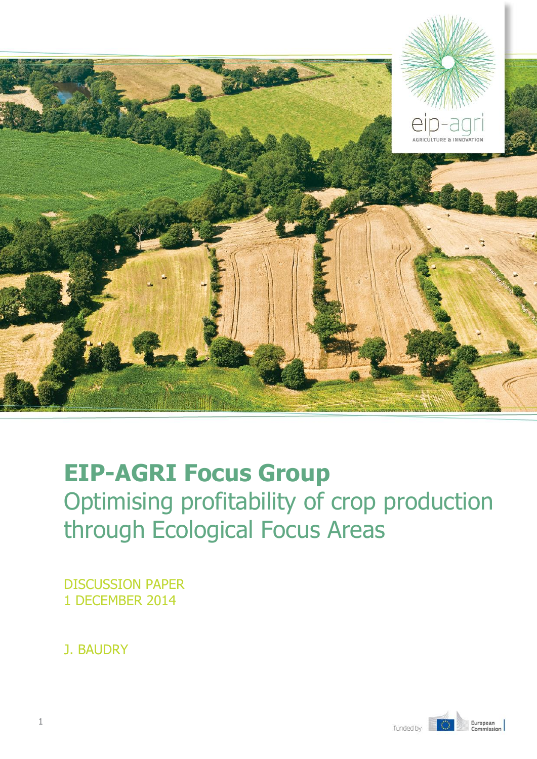

# **EIP-AGRI Focus Group** Optimising profitability of crop production through Ecological Focus Areas

DISCUSSION PAPER 1 DECEMBER 2014

J. BAUDRY

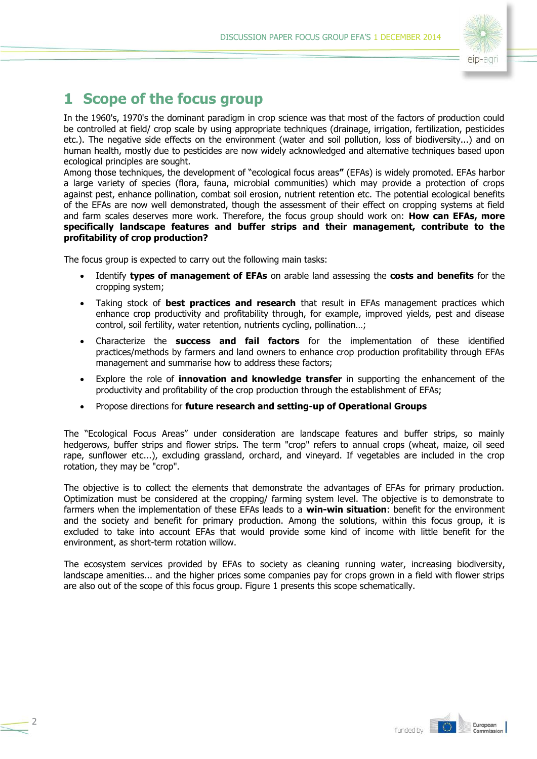

# **1 Scope of the focus group**

In the 1960's, 1970's the dominant paradigm in crop science was that most of the factors of production could be controlled at field/ crop scale by using appropriate techniques (drainage, irrigation, fertilization, pesticides etc.). The negative side effects on the environment (water and soil pollution, loss of biodiversity...) and on human health, mostly due to pesticides are now widely acknowledged and alternative techniques based upon ecological principles are sought.

Among those techniques, the development of "ecological focus areas**"** (EFAs) is widely promoted. EFAs harbor a large variety of species (flora, fauna, microbial communities) which may provide a protection of crops against pest, enhance pollination, combat soil erosion, nutrient retention etc. The potential ecological benefits of the EFAs are now well demonstrated, though the assessment of their effect on cropping systems at field and farm scales deserves more work. Therefore, the focus group should work on: **How can EFAs, more specifically landscape features and buffer strips and their management, contribute to the profitability of crop production?**

The focus group is expected to carry out the following main tasks:

 $\overline{\phantom{0}}$ 

- Identify **types of management of EFAs** on arable land assessing the **costs and benefits** for the cropping system;
- Taking stock of **best practices and research** that result in EFAs management practices which enhance crop productivity and profitability through, for example, improved yields, pest and disease control, soil fertility, water retention, nutrients cycling, pollination…;
- Characterize the **success and fail factors** for the implementation of these identified practices/methods by farmers and land owners to enhance crop production profitability through EFAs management and summarise how to address these factors;
- Explore the role of **innovation and knowledge transfer** in supporting the enhancement of the productivity and profitability of the crop production through the establishment of EFAs;
- Propose directions for **future research and setting-up of Operational Groups**

The "Ecological Focus Areas" under consideration are landscape features and buffer strips, so mainly hedgerows, buffer strips and flower strips. The term "crop" refers to annual crops (wheat, maize, oil seed rape, sunflower etc...), excluding grassland, orchard, and vineyard. If vegetables are included in the crop rotation, they may be "crop".

The objective is to collect the elements that demonstrate the advantages of EFAs for primary production. Optimization must be considered at the cropping/ farming system level. The objective is to demonstrate to farmers when the implementation of these EFAs leads to a **win-win situation**: benefit for the environment and the society and benefit for primary production. Among the solutions, within this focus group, it is excluded to take into account EFAs that would provide some kind of income with little benefit for the environment, as short-term rotation willow.

The ecosystem services provided by EFAs to society as cleaning running water, increasing biodiversity, landscape amenities... and the higher prices some companies pay for crops grown in a field with flower strips are also out of the scope of this focus group. Figure 1 presents this scope schematically.

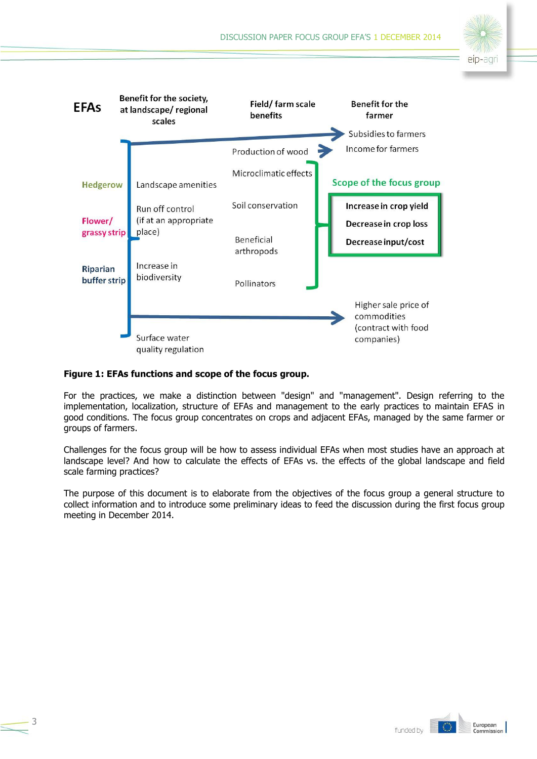



#### **Figure 1: EFAs functions and scope of the focus group.**

For the practices, we make a distinction between "design" and "management". Design referring to the implementation, localization, structure of EFAs and management to the early practices to maintain EFAS in good conditions. The focus group concentrates on crops and adjacent EFAs, managed by the same farmer or groups of farmers.

Challenges for the focus group will be how to assess individual EFAs when most studies have an approach at landscape level? And how to calculate the effects of EFAs vs. the effects of the global landscape and field scale farming practices?

The purpose of this document is to elaborate from the objectives of the focus group a general structure to collect information and to introduce some preliminary ideas to feed the discussion during the first focus group meeting in December 2014.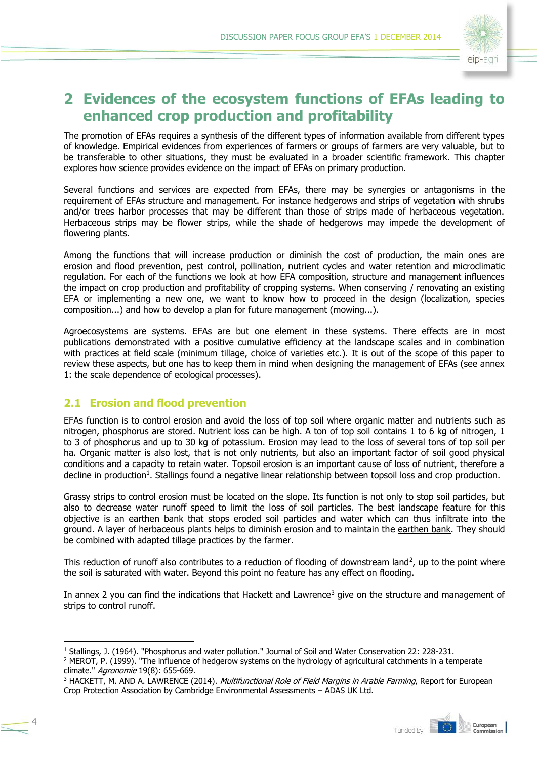

# **2 Evidences of the ecosystem functions of EFAs leading to enhanced crop production and profitability**

The promotion of EFAs requires a synthesis of the different types of information available from different types of knowledge. Empirical evidences from experiences of farmers or groups of farmers are very valuable, but to be transferable to other situations, they must be evaluated in a broader scientific framework. This chapter explores how science provides evidence on the impact of EFAs on primary production.

Several functions and services are expected from EFAs, there may be synergies or antagonisms in the requirement of EFAs structure and management. For instance hedgerows and strips of vegetation with shrubs and/or trees harbor processes that may be different than those of strips made of herbaceous vegetation. Herbaceous strips may be flower strips, while the shade of hedgerows may impede the development of flowering plants.

Among the functions that will increase production or diminish the cost of production, the main ones are erosion and flood prevention, pest control, pollination, nutrient cycles and water retention and microclimatic regulation. For each of the functions we look at how EFA composition, structure and management influences the impact on crop production and profitability of cropping systems. When conserving / renovating an existing EFA or implementing a new one, we want to know how to proceed in the design (localization, species composition...) and how to develop a plan for future management (mowing...).

Agroecosystems are systems. EFAs are but one element in these systems. There effects are in most publications demonstrated with a positive cumulative efficiency at the landscape scales and in combination with practices at field scale (minimum tillage, choice of varieties etc.). It is out of the scope of this paper to review these aspects, but one has to keep them in mind when designing the management of EFAs (see annex 1: the scale dependence of ecological processes).

# **2.1 Erosion and flood prevention**

4

-

EFAs function is to control erosion and avoid the loss of top soil where organic matter and nutrients such as nitrogen, phosphorus are stored. Nutrient loss can be high. A ton of top soil contains 1 to 6 kg of nitrogen, 1 to 3 of phosphorus and up to 30 kg of potassium. Erosion may lead to the loss of several tons of top soil per ha. Organic matter is also lost, that is not only nutrients, but also an important factor of soil good physical conditions and a capacity to retain water. Topsoil erosion is an important cause of loss of nutrient, therefore a decline in production<sup>1</sup>. Stallings found a negative linear relationship between topsoil loss and crop production.

Grassy strips to control erosion must be located on the slope. Its function is not only to stop soil particles, but also to decrease water runoff speed to limit the loss of soil particles. The best landscape feature for this objective is an earthen bank that stops eroded soil particles and water which can thus infiltrate into the ground. A layer of herbaceous plants helps to diminish erosion and to maintain the earthen bank. They should be combined with adapted tillage practices by the farmer.

This reduction of runoff also contributes to a reduction of flooding of downstream land<sup>2</sup>, up to the point where the soil is saturated with water. Beyond this point no feature has any effect on flooding.

In annex 2 you can find the indications that Hackett and Lawrence<sup>3</sup> give on the structure and management of strips to control runoff.

<sup>&</sup>lt;sup>3</sup> HACKETT, M. AND A. LAWRENCE (2014). *Multifunctional Role of Field Margins in Arable Farming*, Report for European Crop Protection Association by Cambridge Environmental Assessments – ADAS UK Ltd.



<sup>1</sup> Stallings, J. (1964). "Phosphorus and water pollution." Journal of Soil and Water Conservation 22: 228-231.

<sup>&</sup>lt;sup>2</sup> MEROT, P. (1999). "The influence of hedgerow systems on the hydrology of agricultural catchments in a temperate climate." Agronomie 19(8): 655-669.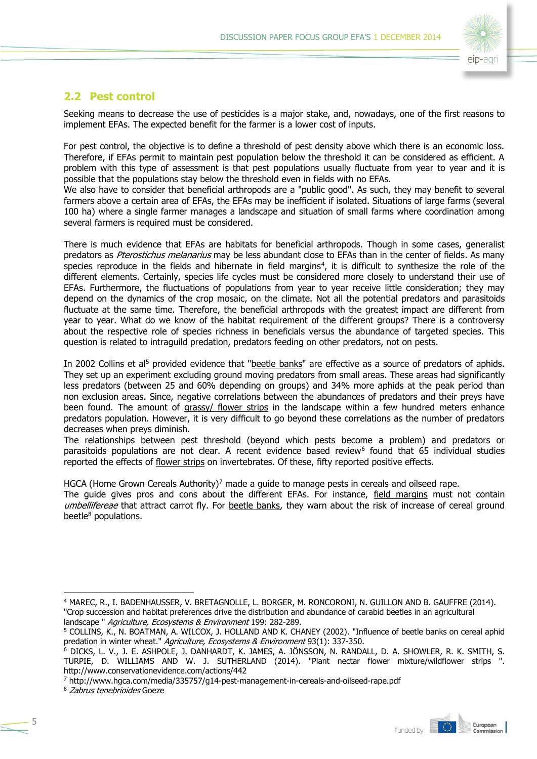

### **2.2 Pest control**

Seeking means to decrease the use of pesticides is a major stake, and, nowadays, one of the first reasons to implement EFAs. The expected benefit for the farmer is a lower cost of inputs.

For pest control, the objective is to define a threshold of pest density above which there is an economic loss. Therefore, if EFAs permit to maintain pest population below the threshold it can be considered as efficient. A problem with this type of assessment is that pest populations usually fluctuate from year to year and it is possible that the populations stay below the threshold even in fields with no EFAs.

We also have to consider that beneficial arthropods are a "public good". As such, they may benefit to several farmers above a certain area of EFAs, the EFAs may be inefficient if isolated. Situations of large farms (several 100 ha) where a single farmer manages a landscape and situation of small farms where coordination among several farmers is required must be considered.

There is much evidence that EFAs are habitats for beneficial arthropods. Though in some cases, generalist predators as *Pterostichus melanarius* may be less abundant close to EFAs than in the center of fields. As many species reproduce in the fields and hibernate in field margins<sup>4</sup>, it is difficult to synthesize the role of the different elements. Certainly, species life cycles must be considered more closely to understand their use of EFAs. Furthermore, the fluctuations of populations from year to year receive little consideration; they may depend on the dynamics of the crop mosaic, on the climate. Not all the potential predators and parasitoids fluctuate at the same time. Therefore, the beneficial arthropods with the greatest impact are different from year to year. What do we know of the habitat requirement of the different groups? There is a controversy about the respective role of species richness in beneficials versus the abundance of targeted species. This question is related to intraguild predation, predators feeding on other predators, not on pests.

In 2002 Collins et al<sup>5</sup> provided evidence that "beetle banks" are effective as a source of predators of aphids. They set up an experiment excluding ground moving predators from small areas. These areas had significantly less predators (between 25 and 60% depending on groups) and 34% more aphids at the peak period than non exclusion areas. Since, negative correlations between the abundances of predators and their preys have been found. The amount of grassy/ flower strips in the landscape within a few hundred meters enhance predators population. However, it is very difficult to go beyond these correlations as the number of predators decreases when preys diminish.

The relationships between pest threshold (beyond which pests become a problem) and predators or parasitoids populations are not clear. A recent evidence based review<sup>6</sup> found that 65 individual studies reported the effects of flower strips on invertebrates. Of these, fifty reported positive effects.

HGCA (Home Grown Cereals Authority)<sup>7</sup> made a guide to manage pests in cereals and oilseed rape.

The guide gives pros and cons about the different EFAs. For instance, field margins must not contain umbellifereae that attract carrot fly. For beetle banks, they warn about the risk of increase of cereal ground beetle<sup>8</sup> populations.



<sup>4</sup> MAREC, R., I. BADENHAUSSER, V. BRETAGNOLLE, L. BORGER, M. RONCORONI, N. GUILLON AND B. GAUFFRE (2014). "Crop succession and habitat preferences drive the distribution and abundance of carabid beetles in an agricultural landscape " Agriculture, Ecosystems & Environment 199: 282-289.

<sup>5</sup> COLLINS, K., N. BOATMAN, A. WILCOX, J. HOLLAND AND K. CHANEY (2002). "Influence of beetle banks on cereal aphid predation in winter wheat." Agriculture, Ecosystems & Environment 93(1): 337-350.

<sup>&</sup>lt;sup>6</sup> DICKS, L. V., J. E. ASHPOLE, J. DANHARDT, K. JAMES, A. JÖNSSON, N. RANDALL, D. A. SHOWLER, R. K. SMITH, S. TURPIE, D. WILLIAMS AND W. J. SUTHERLAND (2014). "Plant nectar flower mixture/wildflower strips ". http://www.conservationevidence.com/actions/442

<sup>7</sup> http://www.hgca.com/media/335757/g14-pest-management-in-cereals-and-oilseed-rape.pdf

<sup>8</sup> Zabrus tenebrioides Goeze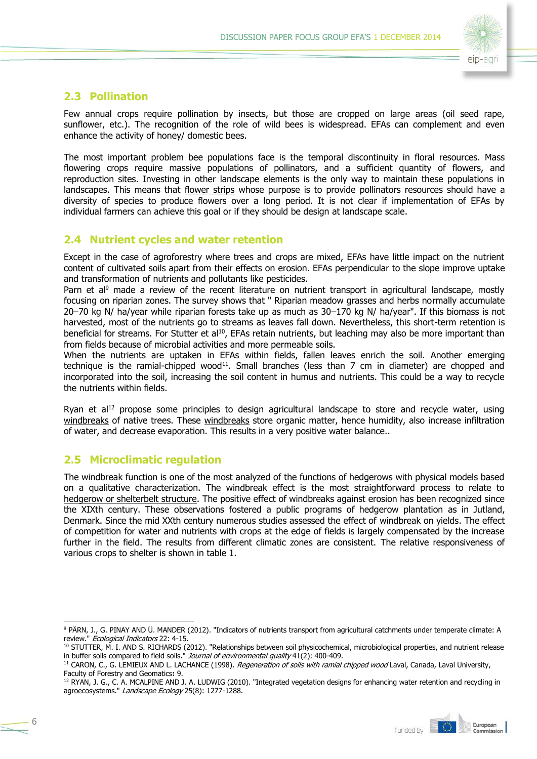

### **2.3 Pollination**

Few annual crops require pollination by insects, but those are cropped on large areas (oil seed rape, sunflower, etc.). The recognition of the role of wild bees is widespread. EFAs can complement and even enhance the activity of honey/ domestic bees.

The most important problem bee populations face is the temporal discontinuity in floral resources. Mass flowering crops require massive populations of pollinators, and a sufficient quantity of flowers, and reproduction sites. Investing in other landscape elements is the only way to maintain these populations in landscapes. This means that flower strips whose purpose is to provide pollinators resources should have a diversity of species to produce flowers over a long period. It is not clear if implementation of EFAs by individual farmers can achieve this goal or if they should be design at landscape scale.

### **2.4 Nutrient cycles and water retention**

Except in the case of agroforestry where trees and crops are mixed, EFAs have little impact on the nutrient content of cultivated soils apart from their effects on erosion. EFAs perpendicular to the slope improve uptake and transformation of nutrients and pollutants like pesticides.

Parn et al<sup>9</sup> made a review of the recent literature on nutrient transport in agricultural landscape, mostly focusing on riparian zones. The survey shows that " Riparian meadow grasses and herbs normally accumulate 20–70 kg N/ ha/year while riparian forests take up as much as 30–170 kg N/ ha/year". If this biomass is not harvested, most of the nutrients go to streams as leaves fall down. Nevertheless, this short-term retention is beneficial for streams. For Stutter et al<sup>10</sup>, EFAs retain nutrients, but leaching may also be more important than from fields because of microbial activities and more permeable soils.

When the nutrients are uptaken in EFAs within fields, fallen leaves enrich the soil. Another emerging technique is the ramial-chipped wood<sup>11</sup>. Small branches (less than  $7 \text{ cm}$  in diameter) are chopped and incorporated into the soil, increasing the soil content in humus and nutrients. This could be a way to recycle the nutrients within fields.

Ryan et al<sup>12</sup> propose some principles to design agricultural landscape to store and recycle water, using windbreaks of native trees. These windbreaks store organic matter, hence humidity, also increase infiltration of water, and decrease evaporation. This results in a very positive water balance..

### **2.5 Microclimatic regulation**

6

The windbreak function is one of the most analyzed of the functions of hedgerows with physical models based on a qualitative characterization. The windbreak effect is the most straightforward process to relate to hedgerow or shelterbelt structure. The positive effect of windbreaks against erosion has been recognized since the XIXth century. These observations fostered a public programs of hedgerow plantation as in Jutland, Denmark. Since the mid XXth century numerous studies assessed the effect of windbreak on yields. The effect of competition for water and nutrients with crops at the edge of fields is largely compensated by the increase further in the field. The results from different climatic zones are consistent. The relative responsiveness of various crops to shelter is shown in table 1.

<sup>&</sup>lt;sup>12</sup> RYAN, J. G., C. A. MCALPINE AND J. A. LUDWIG (2010). "Integrated vegetation designs for enhancing water retention and recycling in agroecosystems." Landscape Ecology 25(8): 1277-1288.



<sup>-</sup><sup>9</sup> PÄRN, J., G. PINAY AND Ü. MANDER (2012). "Indicators of nutrients transport from agricultural catchments under temperate climate: A review." Ecological Indicators 22: 4-15.

<sup>10</sup> STUTTER, M. I. AND S. RICHARDS (2012). "Relationships between soil physicochemical, microbiological properties, and nutrient release in buffer soils compared to field soils." Journal of environmental quality  $41(2)$ : 400-409.

<sup>&</sup>lt;sup>11</sup> CARON, C., G. LEMIEUX AND L. LACHANCE (1998). Regeneration of soils with ramial chipped wood Laval, Canada, Laval University, Faculty of Forestry and Geomatics**:** 9.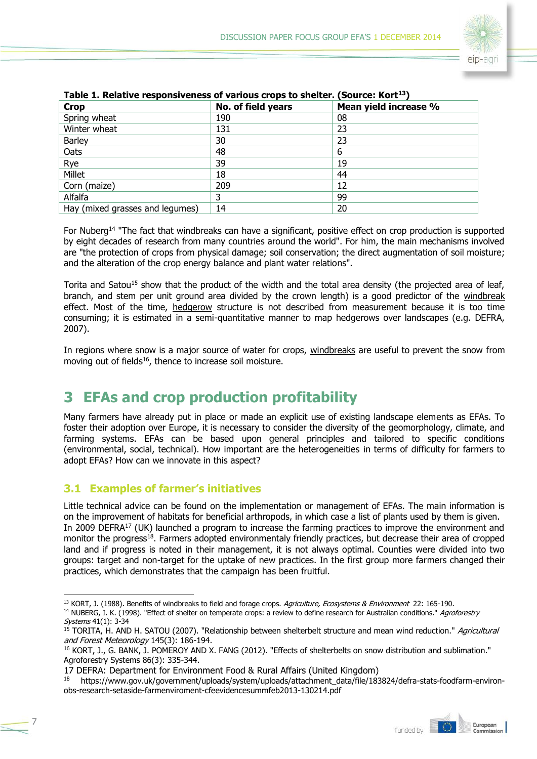

| Table 1. Relative responsiveness or various crops to sherter. (Source: Rort 1) |                    |                       |  |  |
|--------------------------------------------------------------------------------|--------------------|-----------------------|--|--|
| <b>Crop</b>                                                                    | No. of field years | Mean yield increase % |  |  |
| Spring wheat                                                                   | 190                | 08                    |  |  |
| Winter wheat                                                                   | 131                | 23                    |  |  |
| <b>Barley</b>                                                                  | 30                 | 23                    |  |  |
| Oats                                                                           | 48                 | 6                     |  |  |
| Rye                                                                            | 39                 | 19                    |  |  |
| Millet                                                                         | 18                 | 44                    |  |  |
| Corn (maize)                                                                   | 209                | 12                    |  |  |
| Alfalfa                                                                        | 3                  | 99                    |  |  |
| Hay (mixed grasses and legumes)                                                | 14                 | 20                    |  |  |

### **Table 1. Relative responsiveness of various crops to shelter. (Source: Kort<sup>13</sup>)**

For Nuberg<sup>14</sup> "The fact that windbreaks can have a significant, positive effect on crop production is supported by eight decades of research from many countries around the world". For him, the main mechanisms involved are "the protection of crops from physical damage; soil conservation; the direct augmentation of soil moisture; and the alteration of the crop energy balance and plant water relations".

Torita and Satou<sup>15</sup> show that the product of the width and the total area density (the projected area of leaf, branch, and stem per unit ground area divided by the crown length) is a good predictor of the windbreak effect. Most of the time, hedgerow structure is not described from measurement because it is too time consuming; it is estimated in a semi-quantitative manner to map hedgerows over landscapes (e.g. DEFRA, 2007).

In regions where snow is a major source of water for crops, windbreaks are useful to prevent the snow from moving out of fields<sup>16</sup>, thence to increase soil moisture.

# **3 EFAs and crop production profitability**

Many farmers have already put in place or made an explicit use of existing landscape elements as EFAs. To foster their adoption over Europe, it is necessary to consider the diversity of the geomorphology, climate, and farming systems. EFAs can be based upon general principles and tailored to specific conditions (environmental, social, technical). How important are the heterogeneities in terms of difficulty for farmers to adopt EFAs? How can we innovate in this aspect?

# **3.1 Examples of farmer's initiatives**

Little technical advice can be found on the implementation or management of EFAs. The main information is on the improvement of habitats for beneficial arthropods, in which case a list of plants used by them is given. In 2009 DEFRA<sup>17</sup> (UK) launched a program to increase the farming practices to improve the environment and monitor the progress<sup>18</sup>. Farmers adopted environmentaly friendly practices, but decrease their area of cropped land and if progress is noted in their management, it is not always optimal. Counties were divided into two groups: target and non-target for the uptake of new practices. In the first group more farmers changed their practices, which demonstrates that the campaign has been fruitful.

<sup>18</sup> https://www.gov.uk/government/uploads/system/uploads/attachment\_data/file/183824/defra-stats-foodfarm-environobs-research-setaside-farmenviroment-cfeevidencesummfeb2013-130214.pdf



<sup>-</sup><sup>13</sup> KORT, J. (1988). Benefits of windbreaks to field and forage crops. Agriculture, Ecosystems & Environment 22: 165-190. <sup>14</sup> NUBERG, I. K. (1998). "Effect of shelter on temperate crops: a review to define research for Australian conditions." *Agroforestry* Systems 41(1): 3-34

<sup>&</sup>lt;sup>15</sup> TORITA, H. AND H. SATOU (2007). "Relationship between shelterbelt structure and mean wind reduction." Agricultural and Forest Meteorology 145(3): 186-194.

<sup>16</sup> KORT, J., G. BANK, J. POMEROY AND X. FANG (2012). "Effects of shelterbelts on snow distribution and sublimation." Agroforestry Systems 86(3): 335-344.

<sup>17</sup> DEFRA: Department for Environment Food & Rural Affairs (United Kingdom)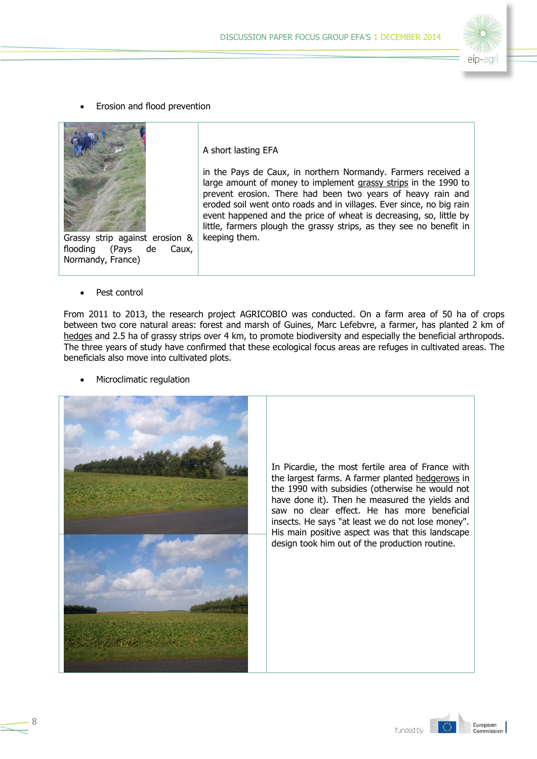

Erosion and flood prevention



Grassy strip against erosion &<br>flooding (Pays de Caux, (Pays de Caux, Normandy, France)

A short lasting EFA

in the Pays de Caux, in northern Normandy. Farmers received a large amount of money to implement grassy strips in the 1990 to prevent erosion. There had been two years of heavy rain and eroded soil went onto roads and in villages. Ever since, no big rain event happened and the price of wheat is decreasing, so, little by little, farmers plough the grassy strips, as they see no benefit in keeping them.

Pest control

8

From 2011 to 2013, the research project AGRICOBIO was conducted. On a farm area of 50 ha of crops between two core natural areas: forest and marsh of Guines, Marc Lefebvre, a farmer, has planted 2 km of hedges and 2.5 ha of grassy strips over 4 km, to promote biodiversity and especially the beneficial arthropods. The three years of study have confirmed that these ecological focus areas are refuges in cultivated areas. The beneficials also move into cultivated plots.

Microclimatic regulation



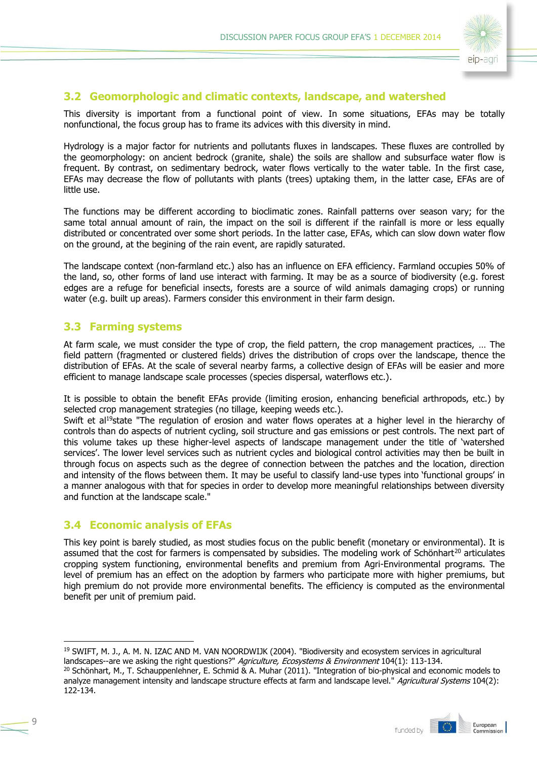

### **3.2 Geomorphologic and climatic contexts, landscape, and watershed**

This diversity is important from a functional point of view. In some situations, EFAs may be totally nonfunctional, the focus group has to frame its advices with this diversity in mind.

Hydrology is a major factor for nutrients and pollutants fluxes in landscapes. These fluxes are controlled by the geomorphology: on ancient bedrock (granite, shale) the soils are shallow and subsurface water flow is frequent. By contrast, on sedimentary bedrock, water flows vertically to the water table. In the first case, EFAs may decrease the flow of pollutants with plants (trees) uptaking them, in the latter case, EFAs are of little use.

The functions may be different according to bioclimatic zones. Rainfall patterns over season vary; for the same total annual amount of rain, the impact on the soil is different if the rainfall is more or less equally distributed or concentrated over some short periods. In the latter case, EFAs, which can slow down water flow on the ground, at the begining of the rain event, are rapidly saturated.

The landscape context (non-farmland etc.) also has an influence on EFA efficiency. Farmland occupies 50% of the land, so, other forms of land use interact with farming. It may be as a source of biodiversity (e.g. forest edges are a refuge for beneficial insects, forests are a source of wild animals damaging crops) or running water (e.g. built up areas). Farmers consider this environment in their farm design.

### **3.3 Farming systems**

At farm scale, we must consider the type of crop, the field pattern, the crop management practices, … The field pattern (fragmented or clustered fields) drives the distribution of crops over the landscape, thence the distribution of EFAs. At the scale of several nearby farms, a collective design of EFAs will be easier and more efficient to manage landscape scale processes (species dispersal, waterflows etc.).

It is possible to obtain the benefit EFAs provide (limiting erosion, enhancing beneficial arthropods, etc.) by selected crop management strategies (no tillage, keeping weeds etc.).

Swift et al<sup>19</sup>state "The regulation of erosion and water flows operates at a higher level in the hierarchy of controls than do aspects of nutrient cycling, soil structure and gas emissions or pest controls. The next part of this volume takes up these higher-level aspects of landscape management under the title of 'watershed services'. The lower level services such as nutrient cycles and biological control activities may then be built in through focus on aspects such as the degree of connection between the patches and the location, direction and intensity of the flows between them. It may be useful to classify land-use types into 'functional groups' in a manner analogous with that for species in order to develop more meaningful relationships between diversity and function at the landscape scale."

### **3.4 Economic analysis of EFAs**

This key point is barely studied, as most studies focus on the public benefit (monetary or environmental). It is assumed that the cost for farmers is compensated by subsidies. The modeling work of Schönhart<sup>20</sup> articulates cropping system functioning, environmental benefits and premium from Agri-Environmental programs. The level of premium has an effect on the adoption by farmers who participate more with higher premiums, but high premium do not provide more environmental benefits. The efficiency is computed as the environmental benefit per unit of premium paid.

 $20$  Schönhart, M., T. Schauppenlehner, E. Schmid & A. Muhar (2011). "Integration of bio-physical and economic models to analyze management intensity and landscape structure effects at farm and landscape level." Agricultural Systems 104(2): 122-134.



<sup>&</sup>lt;sup>19</sup> SWIFT, M. J., A. M. N. IZAC AND M. VAN NOORDWIJK (2004). "Biodiversity and ecosystem services in agricultural landscapes--are we asking the right questions?" Agriculture, Ecosystems & Environment 104(1): 113-134.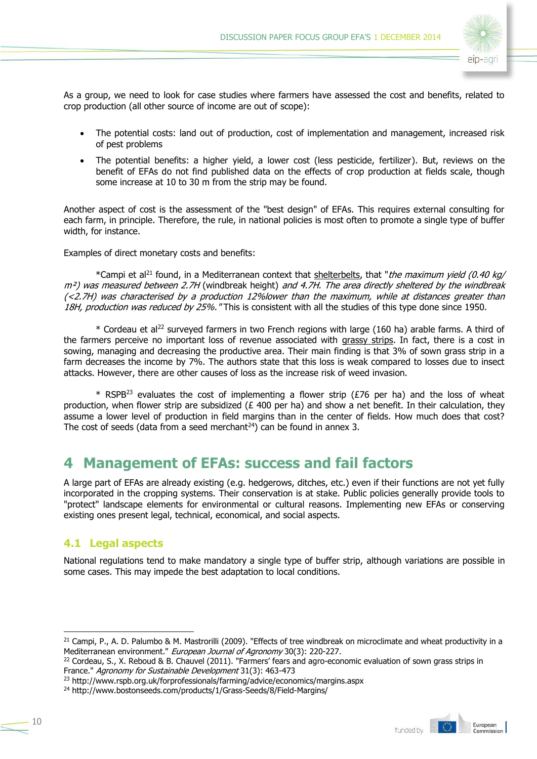

As a group, we need to look for case studies where farmers have assessed the cost and benefits, related to crop production (all other source of income are out of scope):

- The potential costs: land out of production, cost of implementation and management, increased risk of pest problems
- The potential benefits: a higher yield, a lower cost (less pesticide, fertilizer). But, reviews on the benefit of EFAs do not find published data on the effects of crop production at fields scale, though some increase at 10 to 30 m from the strip may be found.

Another aspect of cost is the assessment of the "best design" of EFAs. This requires external consulting for each farm, in principle. Therefore, the rule, in national policies is most often to promote a single type of buffer width, for instance.

Examples of direct monetary costs and benefits:

\*Campi et al<sup>21</sup> found, in a Mediterranean context that shelterbelts, that "the maximum yield (0.40 kg/ m<sup>2</sup>) was measured between 2.7H (windbreak height) and 4.7H. The area directly sheltered by the windbreak (<2.7H) was characterised by a production 12%lower than the maximum, while at distances greater than 18H, production was reduced by 25%. "This is consistent with all the studies of this type done since 1950.

\* Cordeau et al<sup>22</sup> surveyed farmers in two French regions with large (160 ha) arable farms. A third of the farmers perceive no important loss of revenue associated with grassy strips. In fact, there is a cost in sowing, managing and decreasing the productive area. Their main finding is that 3% of sown grass strip in a farm decreases the income by 7%. The authors state that this loss is weak compared to losses due to insect attacks. However, there are other causes of loss as the increase risk of weed invasion.

\* RSPB<sup>23</sup> evaluates the cost of implementing a flower strip ( $E$ 76 per ha) and the loss of wheat production, when flower strip are subsidized ( $E$  400 per ha) and show a net benefit. In their calculation, they assume a lower level of production in field margins than in the center of fields. How much does that cost? The cost of seeds (data from a seed merchant<sup>24</sup>) can be found in annex 3.

# **4 Management of EFAs: success and fail factors**

A large part of EFAs are already existing (e.g. hedgerows, ditches, etc.) even if their functions are not yet fully incorporated in the cropping systems. Their conservation is at stake. Public policies generally provide tools to "protect" landscape elements for environmental or cultural reasons. Implementing new EFAs or conserving existing ones present legal, technical, economical, and social aspects.

# **4.1 Legal aspects**

National regulations tend to make mandatory a single type of buffer strip, although variations are possible in some cases. This may impede the best adaptation to local conditions.



 $21$  Campi, P., A. D. Palumbo & M. Mastrorilli (2009). "Effects of tree windbreak on microclimate and wheat productivity in a Mediterranean environment." European Journal of Agronomy 30(3): 220-227.

 $22$  Cordeau, S., X. Reboud & B. Chauvel (2011). "Farmers' fears and agro-economic evaluation of sown grass strips in France." Agronomy for Sustainable Development 31(3): 463-473

<sup>&</sup>lt;sup>23</sup> http://www.rspb.org.uk/forprofessionals/farming/advice/economics/margins.aspx

<sup>&</sup>lt;sup>24</sup> http://www.bostonseeds.com/products/1/Grass-Seeds/8/Field-Margins/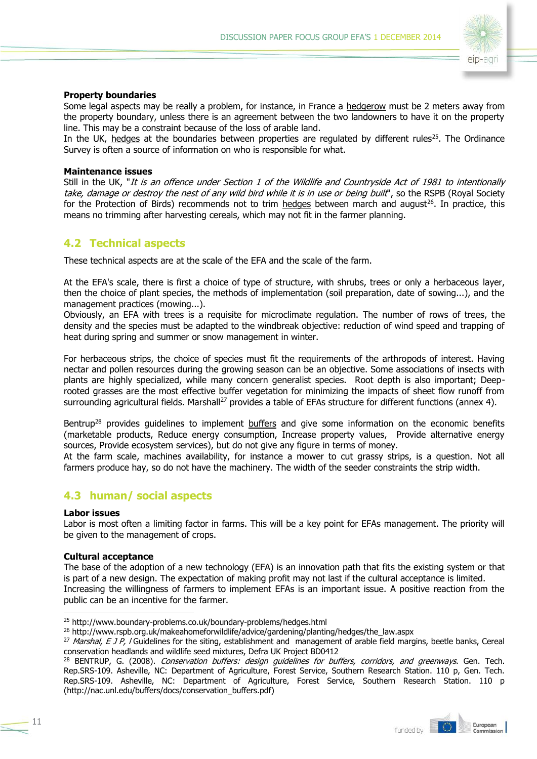

#### **Property boundaries**

Some legal aspects may be really a problem, for instance, in France a hedgerow must be 2 meters away from the property boundary, unless there is an agreement between the two landowners to have it on the property line. This may be a constraint because of the loss of arable land.

In the UK, hedges at the boundaries between properties are regulated by different rules<sup>25</sup>. The Ordinance Survey is often a source of information on who is responsible for what.

#### **Maintenance issues**

Still in the UK, "It is an offence under Section 1 of the Wildlife and Countryside Act of 1981 to intentionally take, damage or destroy the nest of any wild bird while it is in use or being built', so the RSPB (Royal Society for the Protection of Birds) recommends not to trim hedges between march and august<sup>26</sup>. In practice, this means no trimming after harvesting cereals, which may not fit in the farmer planning.

### **4.2 Technical aspects**

These technical aspects are at the scale of the EFA and the scale of the farm.

At the EFA's scale, there is first a choice of type of structure, with shrubs, trees or only a herbaceous layer, then the choice of plant species, the methods of implementation (soil preparation, date of sowing...), and the management practices (mowing...).

Obviously, an EFA with trees is a requisite for microclimate regulation. The number of rows of trees, the density and the species must be adapted to the windbreak objective: reduction of wind speed and trapping of heat during spring and summer or snow management in winter.

For herbaceous strips, the choice of species must fit the requirements of the arthropods of interest. Having nectar and pollen resources during the growing season can be an objective. Some associations of insects with plants are highly specialized, while many concern generalist species. Root depth is also important; Deeprooted grasses are the most effective buffer vegetation for minimizing the impacts of sheet flow runoff from surrounding agricultural fields. Marshall<sup>27</sup> provides a table of EFAs structure for different functions (annex 4).

Bentrup<sup>28</sup> provides guidelines to implement buffers and give some information on the economic benefits (marketable products, Reduce energy consumption, Increase property values, Provide alternative energy sources, Provide ecosystem services), but do not give any figure in terms of money.

At the farm scale, machines availability, for instance a mower to cut grassy strips, is a question. Not all farmers produce hay, so do not have the machinery. The width of the seeder constraints the strip width.

### **4.3 human/ social aspects**

#### **Labor issues**

-

Labor is most often a limiting factor in farms. This will be a key point for EFAs management. The priority will be given to the management of crops.

#### **Cultural acceptance**

The base of the adoption of a new technology (EFA) is an innovation path that fits the existing system or that is part of a new design. The expectation of making profit may not last if the cultural acceptance is limited. Increasing the willingness of farmers to implement EFAs is an important issue. A positive reaction from the public can be an incentive for the farmer.

<sup>&</sup>lt;sup>28</sup> BENTRUP, G. (2008). Conservation buffers: design guidelines for buffers, corridors, and greenways. Gen. Tech. Rep.SRS-109. Asheville, NC: Department of Agriculture, Forest Service, Southern Research Station. 110 p, Gen. Tech. Rep.SRS-109. Asheville, NC: Department of Agriculture, Forest Service, Southern Research Station. 110 p (http://nac.unl.edu/buffers/docs/conservation\_buffers.pdf)



<sup>25</sup> http://www.boundary-problems.co.uk/boundary-problems/hedges.html

<sup>&</sup>lt;sup>26</sup> http://www.rspb.org.uk/makeahomeforwildlife/advice/gardening/planting/hedges/the\_law.aspx

 $^{27}$  Marshal, E J P, I Guidelines for the siting, establishment and management of arable field margins, beetle banks, Cereal conservation headlands and wildlife seed mixtures, Defra UK Project BD0412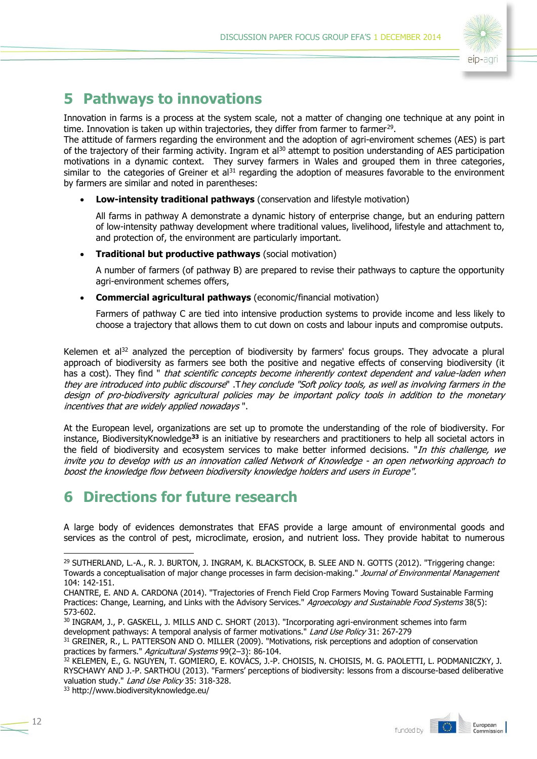

# **5 Pathways to innovations**

Innovation in farms is a process at the system scale, not a matter of changing one technique at any point in time. Innovation is taken up within trajectories, they differ from farmer to farmer<sup>29</sup>.

The attitude of farmers regarding the environment and the adoption of agri-enviroment schemes (AES) is part of the trajectory of their farming activity. Ingram et al<sup>30</sup> attempt to position understanding of AES participation motivations in a dynamic context. They survey farmers in Wales and grouped them in three categories, similar to the categories of Greiner et al $31$  regarding the adoption of measures favorable to the environment by farmers are similar and noted in parentheses:

**Low-intensity traditional pathways** (conservation and lifestyle motivation)

All farms in pathway A demonstrate a dynamic history of enterprise change, but an enduring pattern of low-intensity pathway development where traditional values, livelihood, lifestyle and attachment to, and protection of, the environment are particularly important.

**Traditional but productive pathways** (social motivation)

A number of farmers (of pathway B) are prepared to revise their pathways to capture the opportunity agri-environment schemes offers,

**Commercial agricultural pathways** (economic/financial motivation)

Farmers of pathway C are tied into intensive production systems to provide income and less likely to choose a trajectory that allows them to cut down on costs and labour inputs and compromise outputs.

Kelemen et al $32$  analyzed the perception of biodiversity by farmers' focus groups. They advocate a plural approach of biodiversity as farmers see both the positive and negative effects of conserving biodiversity (it has a cost). They find " that scientific concepts become inherently context dependent and value-laden when they are introduced into public discourse" .They conclude "Soft policy tools, as well as involving farmers in the design of pro-biodiversity agricultural policies may be important policy tools in addition to the monetary incentives that are widely applied nowadays ".

At the European level, organizations are set up to promote the understanding of the role of biodiversity. For instance, BiodiversityKnowledge**<sup>33</sup>** is an initiative by researchers and practitioners to help all societal actors in the field of biodiversity and ecosystem services to make better informed decisions. "*In this challenge, we* invite you to develop with us an innovation called Network of Knowledge - an open networking approach to boost the knowledge flow between biodiversity knowledge holders and users in Europe".

# **6 Directions for future research**

A large body of evidences demonstrates that EFAS provide a large amount of environmental goods and services as the control of pest, microclimate, erosion, and nutrient loss. They provide habitat to numerous

<sup>33</sup> http://www.biodiversityknowledge.eu/



<sup>&</sup>lt;sup>29</sup> SUTHERLAND, L.-A., R. J. BURTON, J. INGRAM, K. BLACKSTOCK, B. SLEE AND N. GOTTS (2012). "Triggering change: Towards a conceptualisation of major change processes in farm decision-making." Journal of Environmental Management 104: 142-151.

CHANTRE, E. AND A. CARDONA (2014). "Trajectories of French Field Crop Farmers Moving Toward Sustainable Farming Practices: Change, Learning, and Links with the Advisory Services." Agroecology and Sustainable Food Systems 38(5): 573-602.

<sup>30</sup> INGRAM, J., P. GASKELL, J. MILLS AND C. SHORT (2013). "Incorporating agri-environment schemes into farm development pathways: A temporal analysis of farmer motivations." Land Use Policy 31: 267-279

<sup>31</sup> GREINER, R., L. PATTERSON AND O. MILLER (2009). "Motivations, risk perceptions and adoption of conservation practices by farmers." Agricultural Systems 99(2-3): 86-104.

<sup>32</sup> KELEMEN, E., G. NGUYEN, T. GOMIERO, E. KOVÁCS, J.-P. CHOISIS, N. CHOISIS, M. G. PAOLETTI, L. PODMANICZKY, J. RYSCHAWY AND J.-P. SARTHOU (2013). "Farmers' perceptions of biodiversity: lessons from a discourse-based deliberative valuation study." Land Use Policy 35: 318-328.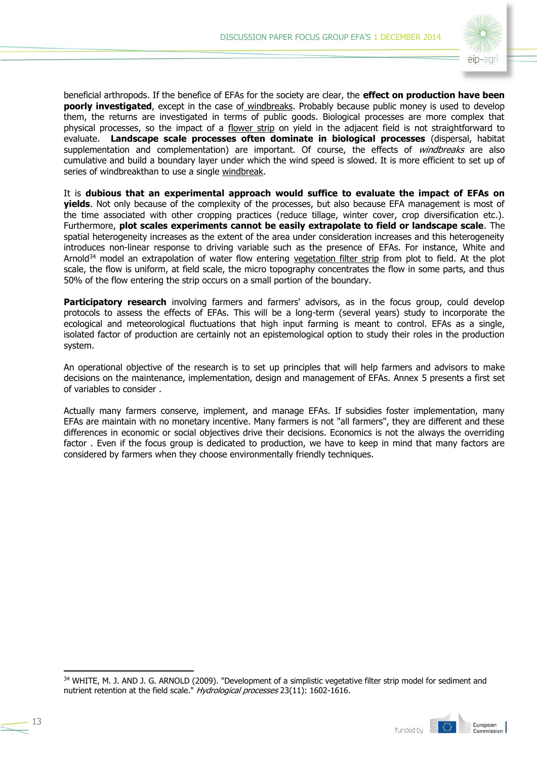

beneficial arthropods. If the benefice of EFAs for the society are clear, the **effect on production have been poorly investigated**, except in the case of windbreaks. Probably because public money is used to develop them, the returns are investigated in terms of public goods. Biological processes are more complex that physical processes, so the impact of a flower strip on yield in the adjacent field is not straightforward to evaluate. **Landscape scale processes often dominate in biological processes** (dispersal, habitat supplementation and complementation) are important. Of course, the effects of *windbreaks* are also cumulative and build a boundary layer under which the wind speed is slowed. It is more efficient to set up of series of windbreakthan to use a single windbreak.

It is **dubious that an experimental approach would suffice to evaluate the impact of EFAs on yields**. Not only because of the complexity of the processes, but also because EFA management is most of the time associated with other cropping practices (reduce tillage, winter cover, crop diversification etc.). Furthermore, **plot scales experiments cannot be easily extrapolate to field or landscape scale**. The spatial heterogeneity increases as the extent of the area under consideration increases and this heterogeneity introduces non-linear response to driving variable such as the presence of EFAs. For instance, White and Arnold<sup>34</sup> model an extrapolation of water flow entering vegetation filter strip from plot to field. At the plot scale, the flow is uniform, at field scale, the micro topography concentrates the flow in some parts, and thus 50% of the flow entering the strip occurs on a small portion of the boundary.

**Participatory research** involving farmers and farmers' advisors, as in the focus group, could develop protocols to assess the effects of EFAs. This will be a long-term (several years) study to incorporate the ecological and meteorological fluctuations that high input farming is meant to control. EFAs as a single, isolated factor of production are certainly not an epistemological option to study their roles in the production system.

An operational objective of the research is to set up principles that will help farmers and advisors to make decisions on the maintenance, implementation, design and management of EFAs. Annex 5 presents a first set of variables to consider .

Actually many farmers conserve, implement, and manage EFAs. If subsidies foster implementation, many EFAs are maintain with no monetary incentive. Many farmers is not "all farmers", they are different and these differences in economic or social objectives drive their decisions. Economics is not the always the overriding factor . Even if the focus group is dedicated to production, we have to keep in mind that many factors are considered by farmers when they choose environmentally friendly techniques.

<sup>34</sup> WHITE, M. J. AND J. G. ARNOLD (2009). "Development of a simplistic vegetative filter strip model for sediment and nutrient retention at the field scale." Hydrological processes 23(11): 1602-1616.

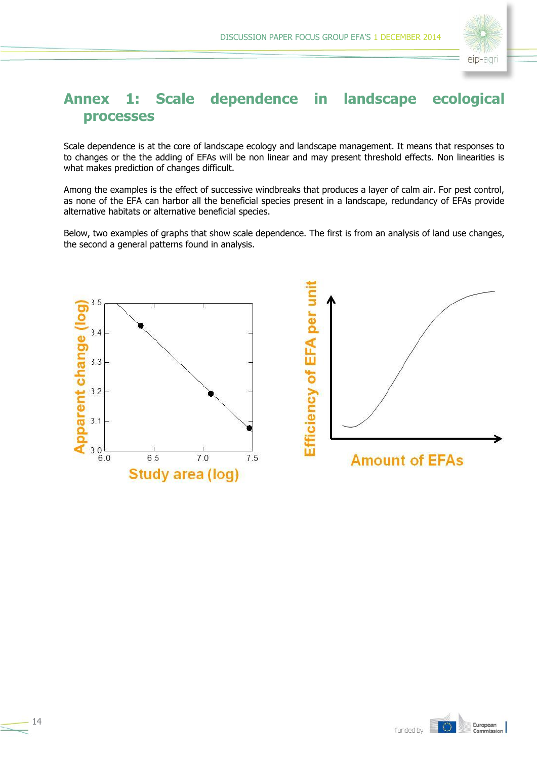

# **Annex 1: Scale dependence in landscape ecological processes**

Scale dependence is at the core of landscape ecology and landscape management. It means that responses to to changes or the the adding of EFAs will be non linear and may present threshold effects. Non linearities is what makes prediction of changes difficult.

Among the examples is the effect of successive windbreaks that produces a layer of calm air. For pest control, as none of the EFA can harbor all the beneficial species present in a landscape, redundancy of EFAs provide alternative habitats or alternative beneficial species.

Below, two examples of graphs that show scale dependence. The first is from an analysis of land use changes, the second a general patterns found in analysis.





14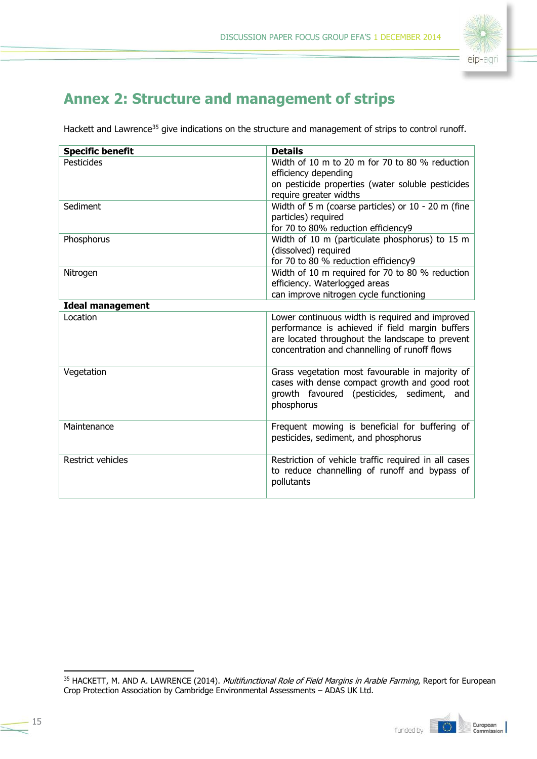

# **Annex 2: Structure and management of strips**

Hackett and Lawrence<sup>35</sup> give indications on the structure and management of strips to control runoff.

| <b>Specific benefit</b> | <b>Details</b>                                                                                                                                                                                         |  |  |
|-------------------------|--------------------------------------------------------------------------------------------------------------------------------------------------------------------------------------------------------|--|--|
| Pesticides              | Width of 10 m to 20 m for 70 to 80 % reduction                                                                                                                                                         |  |  |
|                         | efficiency depending                                                                                                                                                                                   |  |  |
|                         | on pesticide properties (water soluble pesticides                                                                                                                                                      |  |  |
|                         | require greater widths                                                                                                                                                                                 |  |  |
| Sediment                | Width of 5 m (coarse particles) or $10 - 20$ m (fine                                                                                                                                                   |  |  |
|                         | particles) required                                                                                                                                                                                    |  |  |
|                         | for 70 to 80% reduction efficiency9                                                                                                                                                                    |  |  |
| Phosphorus              | Width of 10 m (particulate phosphorus) to 15 m                                                                                                                                                         |  |  |
|                         | (dissolved) required                                                                                                                                                                                   |  |  |
|                         | for 70 to 80 % reduction efficiency9                                                                                                                                                                   |  |  |
| Nitrogen                | Width of 10 m required for 70 to 80 % reduction                                                                                                                                                        |  |  |
|                         | efficiency. Waterlogged areas                                                                                                                                                                          |  |  |
|                         | can improve nitrogen cycle functioning                                                                                                                                                                 |  |  |
| <b>Ideal management</b> |                                                                                                                                                                                                        |  |  |
| Location                | Lower continuous width is required and improved<br>performance is achieved if field margin buffers<br>are located throughout the landscape to prevent<br>concentration and channelling of runoff flows |  |  |
| Vegetation              | Grass vegetation most favourable in majority of<br>cases with dense compact growth and good root<br>growth favoured (pesticides, sediment, and<br>phosphorus                                           |  |  |
| Maintenance             | Frequent mowing is beneficial for buffering of<br>pesticides, sediment, and phosphorus                                                                                                                 |  |  |
| Restrict vehicles       | Restriction of vehicle traffic required in all cases<br>to reduce channelling of runoff and bypass of<br>pollutants                                                                                    |  |  |

<sup>&</sup>lt;sup>35</sup> HACKETT, M. AND A. LAWRENCE (2014). *Multifunctional Role of Field Margins in Arable Farming*, Report for European Crop Protection Association by Cambridge Environmental Assessments – ADAS UK Ltd.

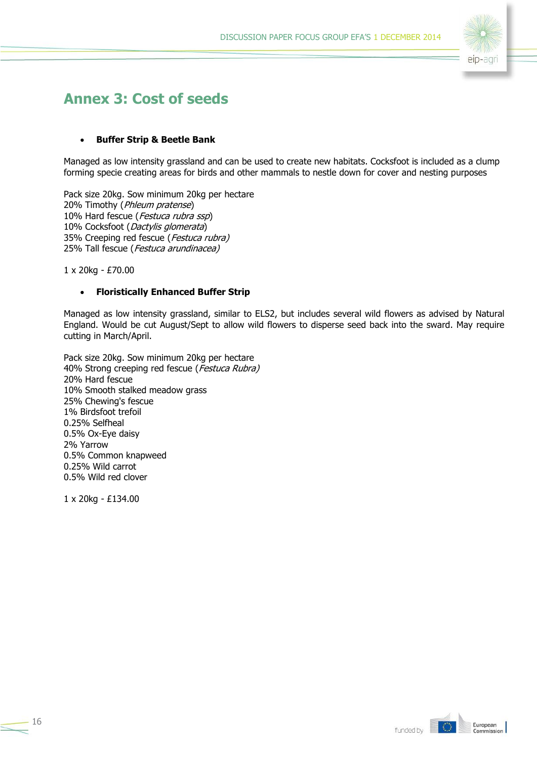

# **Annex 3: Cost of seeds**

#### **Buffer Strip & Beetle Bank**

Managed as low intensity grassland and can be used to create new habitats. Cocksfoot is included as a clump forming specie creating areas for birds and other mammals to nestle down for cover and nesting purposes

Pack size 20kg. Sow minimum 20kg per hectare 20% Timothy (*Phleum pratense*) 10% Hard fescue (Festuca rubra ssp) 10% Cocksfoot (Dactylis glomerata) 35% Creeping red fescue (Festuca rubra) 25% Tall fescue (Festuca arundinacea)

1 x 20kg - £70.00

#### **Floristically Enhanced Buffer Strip**

Managed as low intensity grassland, similar to ELS2, but includes several wild flowers as advised by Natural England. Would be cut August/Sept to allow wild flowers to disperse seed back into the sward. May require cutting in March/April.

Pack size 20kg. Sow minimum 20kg per hectare 40% Strong creeping red fescue (Festuca Rubra) 20% Hard fescue 10% Smooth stalked meadow grass 25% Chewing's fescue 1% Birdsfoot trefoil 0.25% Selfheal 0.5% Ox-Eye daisy 2% Yarrow 0.5% Common knapweed 0.25% Wild carrot 0.5% Wild red clover

1 x 20kg - £134.00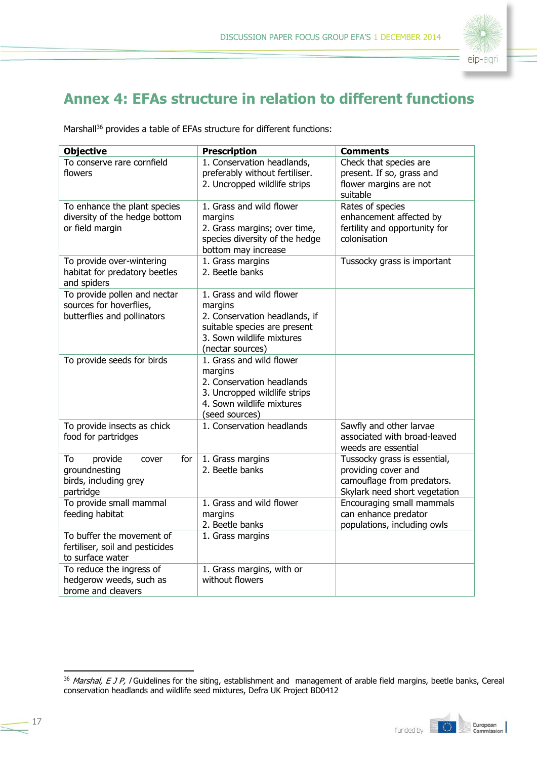

# **Annex 4: EFAs structure in relation to different functions**

Marshall<sup>36</sup> provides a table of EFAs structure for different functions:

| <b>Objective</b>                                                                       | <b>Prescription</b>                                                                                                                                   | <b>Comments</b>                                                                                                    |
|----------------------------------------------------------------------------------------|-------------------------------------------------------------------------------------------------------------------------------------------------------|--------------------------------------------------------------------------------------------------------------------|
| To conserve rare cornfield<br>flowers                                                  | 1. Conservation headlands,<br>preferably without fertiliser.<br>2. Uncropped wildlife strips                                                          | Check that species are<br>present. If so, grass and<br>flower margins are not<br>suitable                          |
| To enhance the plant species<br>diversity of the hedge bottom<br>or field margin       | 1. Grass and wild flower<br>margins<br>2. Grass margins; over time,<br>species diversity of the hedge<br>bottom may increase                          | Rates of species<br>enhancement affected by<br>fertility and opportunity for<br>colonisation                       |
| To provide over-wintering<br>habitat for predatory beetles<br>and spiders              | 1. Grass margins<br>2. Beetle banks                                                                                                                   | Tussocky grass is important                                                                                        |
| To provide pollen and nectar<br>sources for hoverflies,<br>butterflies and pollinators | 1. Grass and wild flower<br>margins<br>2. Conservation headlands, if<br>suitable species are present<br>3. Sown wildlife mixtures<br>(nectar sources) |                                                                                                                    |
| To provide seeds for birds                                                             | 1. Grass and wild flower<br>margins<br>2. Conservation headlands<br>3. Uncropped wildlife strips<br>4. Sown wildlife mixtures<br>(seed sources)       |                                                                                                                    |
| To provide insects as chick<br>food for partridges                                     | 1. Conservation headlands                                                                                                                             | Sawfly and other larvae<br>associated with broad-leaved<br>weeds are essential                                     |
| provide<br>for<br>To<br>cover<br>groundnesting<br>birds, including grey<br>partridge   | 1. Grass margins<br>2. Beetle banks                                                                                                                   | Tussocky grass is essential,<br>providing cover and<br>camouflage from predators.<br>Skylark need short vegetation |
| To provide small mammal<br>feeding habitat                                             | 1. Grass and wild flower<br>margins<br>2. Beetle banks                                                                                                | Encouraging small mammals<br>can enhance predator<br>populations, including owls                                   |
| To buffer the movement of<br>fertiliser, soil and pesticides<br>to surface water       | 1. Grass margins                                                                                                                                      |                                                                                                                    |
| To reduce the ingress of<br>hedgerow weeds, such as<br>brome and cleavers              | 1. Grass margins, with or<br>without flowers                                                                                                          |                                                                                                                    |

<sup>&</sup>lt;sup>36</sup> Marshal, E J P, I Guidelines for the siting, establishment and management of arable field margins, beetle banks, Cereal conservation headlands and wildlife seed mixtures, Defra UK Project BD0412